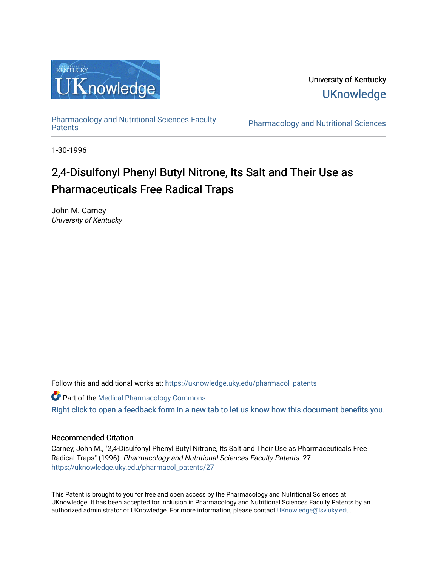

University of Kentucky **UKnowledge** 

[Pharmacology and Nutritional Sciences Faculty](https://uknowledge.uky.edu/pharmacol_patents)

Pharmacology and Nutritional Sciences

1-30-1996

# 2,4-Disulfonyl Phenyl Butyl Nitrone, Its Salt and Their Use as Pharmaceuticals Free Radical Traps

John M. Carney University of Kentucky

Follow this and additional works at: [https://uknowledge.uky.edu/pharmacol\\_patents](https://uknowledge.uky.edu/pharmacol_patents?utm_source=uknowledge.uky.edu%2Fpharmacol_patents%2F27&utm_medium=PDF&utm_campaign=PDFCoverPages) 

Part of the [Medical Pharmacology Commons](http://network.bepress.com/hgg/discipline/960?utm_source=uknowledge.uky.edu%2Fpharmacol_patents%2F27&utm_medium=PDF&utm_campaign=PDFCoverPages) 

[Right click to open a feedback form in a new tab to let us know how this document benefits you.](https://uky.az1.qualtrics.com/jfe/form/SV_9mq8fx2GnONRfz7)

# Recommended Citation

Carney, John M., "2,4-Disulfonyl Phenyl Butyl Nitrone, Its Salt and Their Use as Pharmaceuticals Free Radical Traps" (1996). Pharmacology and Nutritional Sciences Faculty Patents. 27. [https://uknowledge.uky.edu/pharmacol\\_patents/27](https://uknowledge.uky.edu/pharmacol_patents/27?utm_source=uknowledge.uky.edu%2Fpharmacol_patents%2F27&utm_medium=PDF&utm_campaign=PDFCoverPages) 

This Patent is brought to you for free and open access by the Pharmacology and Nutritional Sciences at UKnowledge. It has been accepted for inclusion in Pharmacology and Nutritional Sciences Faculty Patents by an authorized administrator of UKnowledge. For more information, please contact [UKnowledge@lsv.uky.edu](mailto:UKnowledge@lsv.uky.edu).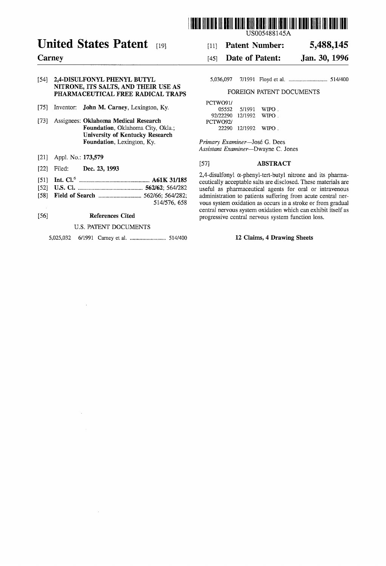

# United States Patent [191]

# **Carney**

# [54] 2,4-DISULFONYL PHENYL BUTYL NITRONE, ITS SALTS, AND THEIR USE AS PHARMACEUTICAL FREE RADICAL TRAPS

- [75] Inventor: **John M. Carney**, Lexington, Ky.
- [73] Assignees: Oklahoma Medical Research Foundation, Oklahoma City, Okla; University of Kentucky Research Foundation, Lexington, Ky.
- [21] Appl. No.: **173,579**
- [22] Filed: Dec. 23, 1993
- [51] Int. Cl.6 ................................................. .. A61K 31/185
- [52] US. Cl. ............................................. .. 562/62; 564/282
- [58] Field of Search ............................. .. 562/66; 564/282;
- 514/576, 658

# [56] References Cited

### U.S. PATENT DOCUMENTS

5,025,032 6/1991 Carney et a1. ........................ .. 514/400

[11] Patent Number: 5,488,145

#### [45] **Date of Patent:** Jan. 30, 1996

5,036,097 7/1991 Floyd et al. . ......................... .. 514/400

### FOREIGN PATENT DOCUMENTS

| PCTWO91/ |                    |             |
|----------|--------------------|-------------|
| 05552    | 5/1991             | WIPO .      |
| 92/22290 | 12/1992            | <b>WIPO</b> |
| PCTWO92/ |                    |             |
| 22290    | - 12/1992 - WIPO . |             |
|          |                    |             |

Primary Examiner-José G. Dees Assistant Examiner—Dwayne C. Jones

# [57] ABSTRACT

 $2,4$ -disulfonyl  $\alpha$ -phenyl-tert-butyl nitrone and its pharmaceutically acceptable salts are disclosed. These materials are useful as pharmaceutical agents for oral or intravenous administration to patients suffering from acute central nervous system oxidation as occurs in a stroke or from gradual central nervous system oxidation which can exhibit itself as progressive central nervous system function loss.

#### 12 Claims, 4 Drawing Sheets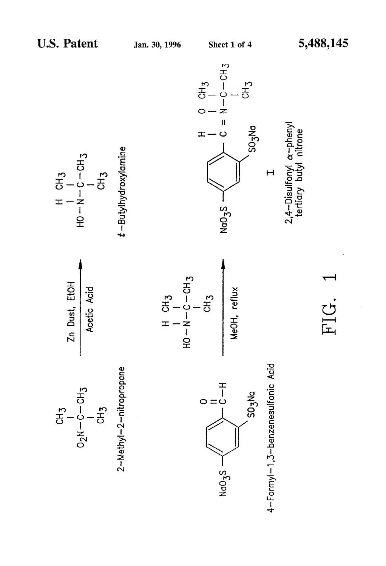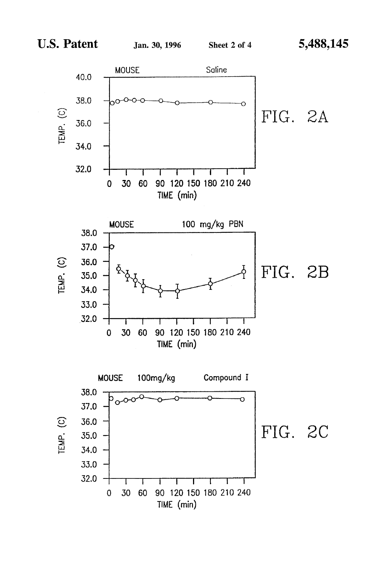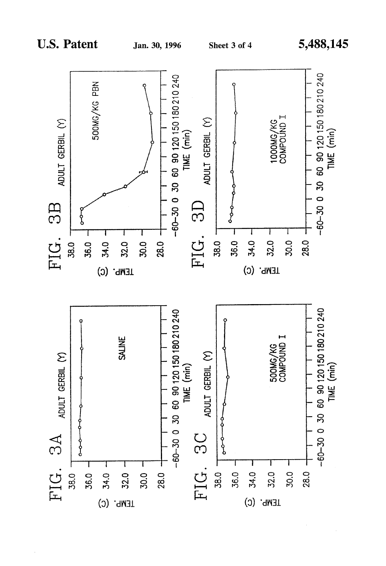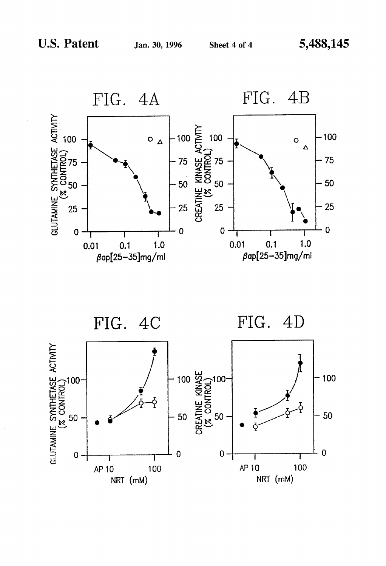

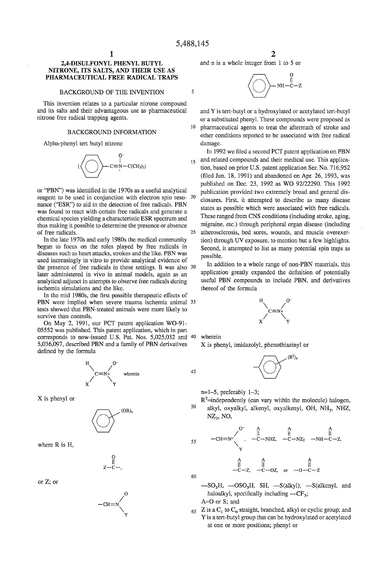$\overline{5}$ 

 $15$ 

# 2,4-DISULFONYL PHENYL BUTYL NITRONE, ITS SALTS, AND THEIR USE AS PHARNIACEUTICAL FREE RADICAL TRAPS

#### BACKGROUND OF THE INVENTION

This invention relates to a particular nitrone compound and its salts and their advantageous use as pharmaceutical nitrone free radical trapping agents.

#### BACKGROUND INFORMATION

Alpha-phenyl tert butyl nitrone



or "PBN") was identified in the 1970s as a useful analytical reagent to be used in conjunction with electron spin reso- 20 nance ("ESR") to aid in the detection of free radicals. PBN was found to react with certain free radicals and generate a chemical species yielding a characteristic ESR spectrum and thus making it possible to determine the presence or absence of free radicals 25

In the late 1970s and early 1980s the medical community began to focus on the roles played by free radicals in diseases such as heart attacks, strokes and the like. PBN was used increasingly in vitro to provide analytical evidence of the presence of free radicals in these settings. It was also 30 later administered in vivo in animal models, again as an analytical adjunct in attempts to observe free radicals during ischemia simulations and the like.

In the mid 1980s, the first possible therapeutic effects of PBN were implied when severe trauma ischemia animal 35 tests showed that PEN-treated animals were more likely to survive than controls.

On May 2, 1991, our PCT patent application WO-9l 05552 was published. This patent application, which in part corresponds to now-issued U.S. Pat. Nos. 5,025,032 and <sup>40</sup> 5,036,097, described PBN and a family of PBN derivatives defined by the formula



X is phenyl or



where R is H,

 $\ddot{\mathbf{0}}$  $z-\ddot{c}$ —,

or Z; or



2

and n is a whole integer from 1 to 5 or



10 and Y is tert-butyl or a hydroxylated or acetylated tert-butyl or a substituted phenyl. These compounds were proposed as pharmaceutical agents to treat the aftermath of stroke and other conditions reported to be associated with free radical damage.

In 1992 we filed a second PCT patent application on PBN and related compounds and their medical use. This applica tion, based on prior U.S. patent application Ser. No. 716,952 (filed Jun.  $18$ ,  $1991$ ) and abandoned on Apr. 26, 1993, was published on Dec. 23, 1992 as WO 92/22290. This 1992 publication provided two extremely broad and general dis closures. First, it attempted to describe as many disease states as possible which were associated with free radicals. These ranged from CNS conditions (including stroke, aging, migraine, etc.) through peripheral organ disease (including atherosclerosis, bed sores, wounds, and muscle overexer tion) through UV exposure, to mention but a few highlights. Second, it attempted to list as many potential spin traps as possible.

In addition to a whole range of non-PEN materials, this application greatly expanded the definition of potentially useful PBN compounds to include PBN, and derivatives thereof of the formula



wherein

45

X is phenyl, imidazolyl, phenothiazinyl or



n=1—5, preferably l—3;

50  $R<sup>2</sup>$ =independently (can vary within the molecule) halogen, alkyl, oxyalkyl, alkenyl, oxyalkenyl, OH, NH<sub>2</sub>, NHZ,  $NZ_2$ , NO,

55 
$$
-CH=N^*
$$
  $\begin{matrix}\n0 & A & A & A \\
\parallel & \parallel & \parallel & \parallel \\
\downarrow & -C-NHZ & -C-NZ_2 & -NH-C-Z \\
\downarrow & \parallel & \parallel & \parallel \\
-C-Z & -C-OZ & \text{or} & -O-C-Z\n\end{matrix}$ 

60

 $-SO<sub>3</sub>H$ ,  $-OSO<sub>3</sub>H$ ,  $SH$ ,  $-S(alkyl)$ ,  $-S(alkenyl, and$ haloalkyl, specifically including  $-CF_3$ ;  $A=O$  or  $S$ ; and

 $65$  Z is a C<sub>1</sub> to C<sub>6</sub> straight, branched, alkyl or cyclic group; and Y is a tert-butyl group that can be hydroxylated or acetylated at one or more positions; phenyl or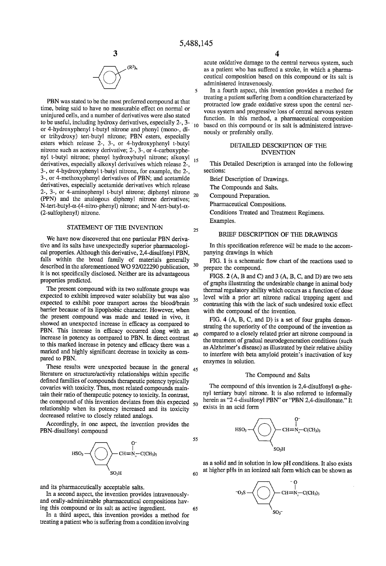

PBN was stated to be the most preferred compound at that time, being said to have no measurable effect on normal or uninjured cells, and a number of derivatives were also stated to be useful, including hydroxy derivatives, especially  $2-$ ,  $3 10$ or 4-hydroxypheny1 t-butyl nitrone and phenyl (mono-, di or trihydroxy) tert-butyl nitrone; PBN esters, especially esters which release 2-, 3-, or 4-hydroxyphenyl t-butyl nitrone such as acetoxy derivative; 2-, 3-, or 4-carboxyphe nyl t-butyl nitrone; phenyl hydroxybutyl nitrone; alkoxyl  $15$ derivatives, especially alkoxyl derivatives which release 2-, 3-, or 4-hydroxyphenyl t-butyl nitrone, for example, the 2-, 3-, or 4-methoxyphenyl derivatives of PBN; and acetarnide derivatives, especially acetamide derivatives which release 2-, 3-, or 4-aminophenyl t-butyl nitrone; diphenyl nitrone 20 (PPN) and the analogous diphenyl nitrone derivatives; N-tert-butyl- $\alpha$ -(4-nitro-phenyl) nitrone; and N-tert-butyl- $\alpha$ -(2-sulfophenyl) nitrone.

### STATEMENT OF THE INVENTION

We have now discovered that one particular PBN deriva tive and its salts have unexpectedly superior pharmacologi cal properties. Although this derivative, 2,4-disulfonyl PBN, falls within the broad family of materials generally described in the aforementioned WO 92/022290 publication, it is not specifically disclosed. Neither are its advantageous properties predicted.

The present compound with its two sulfonate groups was expected to exhibit improved water solubility but was also expected to exhibit poor transport across the blood/brain barrier because of its lipophobic character. However, when the present compound was made and tested in vivo, it showed an unexpected increase in efficacy as compared to PBN. This increase in efficacy occurred along with an increase in potency as compared to PBN. In direct contrast to this marked increase in potency and efficacy there was a marked and highly significant decrease in toxicity as compared to PBN. 35 40

These results were unexpected because in the general  $_{45}$ literature on structure/activity relationships within specific defined families of compounds therapeutic potency typically covaries with toxicity. Thus, most related compounds main tain their ratio of therapeutic potency to toxicity. In contrast, the compound of this invention deviates from this expected  $_{50}$ relationship when its potency increased and its toxicity decreased relative to closely related analogs.

Accordingly, in one aspect, the invention provides the PBN-disulfonyl compound



and its pharmaceutically acceptable salts.

In a second aspect, the invention provides intravenously and orally-administrable pharmaceutical compositions hav ing this compound or its salt as active ingredient.

In a third aspect, this invention provides a method for treating a patient who is suffering from a condition involving

acute oxidative damage to the central nervous system, such as a patient who has suffered a stroke, in which a pharma ceutical composition based on this compound or its salt is administered intravenously.

In a fourth aspect, this invention provides a method for treating a patient suffering from a condition characterized by protracted low grade oxidative stress upon the central ner vous system and progressive loss of central nervous system function. In this method, a pharmaceutical composition based on this compound or its salt is administered intrave nously or preferably orally.

#### DETAILED DESCRIPTION OF THE INVENTION

This Detailed Description is arranged into the following sections:

Brief Description of Drawings.

The Compounds and Salts.

Compound Preparation.

Pharmaceutical Compositions.

Conditions Treated and Treatment Regimens.

Examples.

25

30

55

60

65

#### BRIEF DESCRIPTION OF THE DRAWINGS

In this specification reference will be made to the accompanying drawings in which

FIG. 1 is a schematic flow chart of the reactions used to prepare the compound.

FIGS. 2 (A, B and C) and 3 (A, B, C, and D) are two sets of graphs illustrating the undesirable change in animal body thermal regulatory ability which occurs as a function of dose level with a prior art nitrone radical trapping agent and contrasting this with the lack of such undesired toxic effect with the compound of the invention.

FIG. 4 (A, B, C, and D) is a set of four graphs demon strating the superiority of the compound of the invention as compared to a closely related prior art nitrone compound in the treatment of gradual neurodegeneration conditions (such as Alzheimer's disease) as illustrated by their relative ability to interfere with beta amyloid protein's inactivation of key enzymes in solution.

#### The Compound and Salts

The compound of this invention is 2,4-disulfonyl  $\alpha$ -phenyl tertiary butyl nitrone. It is also referred to informally herein as "24-disulfonyl PBN" or "PBN 2,4-disulfonate." It exists in an acid form



as a solid and in solution in low pH conditions. It also exists at higher pHs in an ionized salt form which can be shown as

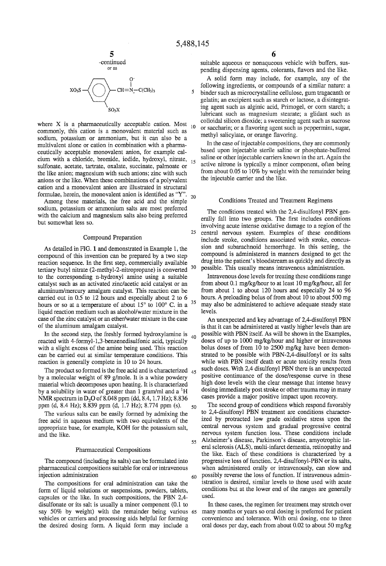$\leq$ 

25

60



$$
SO_3S \longrightarrow \bigodot \leftarrow \bigodot \limits_{SO_1 \times}^{O^-} CH = N^{\_}_+ - C(CH_3)_3
$$

 $\overline{\mathbf{y}}$ 

where X is a pharmaceutically acceptable cation. Most 10 commonly, this cation is a monovalent material such as sodium, potassium or ammonium, but it can also be a multivalent alone or cation in combination with a pharma ceutically acceptable monovalent anion, for example cal cium with a chloride, bromide, iodide, hydroxyl, nitrate, sulfonate, acetate, tartrate, oxalate, succinate, palmoate or the like anion; magnesium with such anions; zinc with such anions or the like. When these combinations of a polyvalent cation and a monovalent anion are illustrated in structural formulae, herein, the monovalent amon is identified as "Y".  $_{20}$ 

Among these materials, the free acid and the simple sodium, potassium or ammonium salts are most preferred with the calcium and magnesium salts also being preferred but somewhat less so.

#### Compound Preparation

As detailed in FIG. 1 and demonstrated in Example 1, the compound of this invention can be prepared by a two step reaction sequence. In the first step, commercially available tertiary butyl nitrate (2-methyl-2-nitropropane) is converted <sup>30</sup> to the corresponding n-hydroxyl amine using a suitable catalyst such as an activated zinc/acetic acid catalyst or an aluminum/mercury amalgam catalyst. This reaction can be carried out in 0.5 to 12 hours and especially about 2 to 6 hours or so at a temperature of about  $15^{\circ}$  to  $100^{\circ}$  C. in a  $35^{\circ}$ liquid reaction medium such as alcohol/water mixture in the case of the zinc catalyst or an ether/water mixture in the case of the aluminum amalgam catalyst.

In the second step, the freshly formed hydroxylamine is  $_{40}$ reacted with 4-formyl-1,3-benzenedisulfonic acid, typically with a slight excess of the amine being used. This reaction can be carried out at similar temperature conditions. This reaction is generally complete in 10 to 24 hours.

The product so formed is the free acid and is characterized  $_{45}$ by a molecular weight of 89 g/mole. It is a white powdery material which decomposes upon heating. It is characterized by a solubility in water of greater than  $1$  gram/ml and  $a<sup>1</sup>H$ NMR spectrum in D<sub>2</sub>O of 8.048 ppm (dd, 8.4, 1.7 Hz); 8.836 ppm (d, 8.4 Hz); 8.839 ppm (d, 1.7 Hz); 8.774 ppm (s). 50

The various salts can be easily formed by admixing the free acid in aqueous medium with two equivalents of the appropriate base, for example, KOH for the potassium salt, and the like.

#### Pharmaceutical Compositions

The compound (including its salts) can be formulated into pharmaceutical compositions suitable for oral or intravenous injection administration

The compositions for oral administration can take the form of liquid solutions or suspensions, powders, tablets, capsules or the like. In such compositions, the PBN 2,4 disulfonate or its salt is usually a minor component (0.1 to say 50% by weight) with the remainder being various 65 vehicles or carriers and processing aids helpful for forming the desired dosing form. A liquid form may include a

suitable aqueous or nonaqueous vehicle with buffers, sus pending dispensing agents, colorants, flavors and the like.

A solid form may include, for example, any of the following ingredients, or compounds of a similar nature: a binder such as microcrystalline cellulose, gum tragacanth or gelatin; an excipient such as starch or lactose, a disintegrat ing agent such as alginic acid, Primogel, or corn starch; a lubricant such as magnesium stearate; a glidant such as colloidal silicon dioxide; a sweetening agent such as sucrose or saccharin; or a flavoring agent such as peppermint, sugar, methyl salicylate, or orange flavoring.

In the case of injectable compositions, they are commonly based upon injectable sterile saline or phosphate-buffered saline or other injectable carriers known in the art. Again the active nitrone is typically a minor component, often being from about 0.05 to 10% by weight with the remainder being the injectable carrier and the like.

#### Conditions Treated and Treatment Regimens

The conditions treated with the 2,4-disulfonyl PBN gen erally fall into two groups. The first includes conditions involving acute intense oxidative damage to a region of the central nervous system. Examples of these conditions include stroke, conditions associated with stroke, concus sion and subarachnoid hemorrhage. In this setting, the compound is administered in manners designed to get the drug into the patient' s bloodstream as quickly and directly as possible. This usually means intravenous administration.

Intravenous dose levels for treating these conditions range from about 0.1 mg/kg/hour to at least 10 mg/kg/hour, all for from about 1 to about 120 hours and especially 24 to 96 hours. A preloading bolus of from about 10 to about 500 mg may also be administered to achieve adequate steady state levels.

An unexpected and key advantage of 2,4-disulfonyl PBN is that it can be administered at vastly higher levels than are possible with PBN itself. As will be shown in the Examples, doses of up to 1000 mg/kg/hour and higher or intravenous bolus doses of from 10 to 2500 mg/kg have been demon strated to be possible with PBN-2,4-disulfonyl or its salts while with PBN itself death or acute toxicity results from such doses. With 2,4 disulfonyl PBN there is an unexpected positive continuance of the dose/response curve in these high dose levels with the clear message that intense heavy dosing immediately post stroke or other trauma may in many cases provide a major positive impact upon recovery.

55 Alzheimer's disease, Parkinson's disease, amyotrophic lat The second group of conditions which respond favorably to 2,4-disulfonyl PBN treatment are conditions character ized by protracted low grade oxidative stress upon the central nervous system and gradual progressive central nervous system function loss. These conditions include eral sclerosis (ALS), multi-infarct dementia, retinopathy and the like. Each of these conditions is characterized by a progressive loss of function. 2,4-disulfonyl-PBN or its salts, when administered orally or intravenously, can slow and possibly reverse the loss of function. If intravenous admin istration is desired, similar levels to those used with acute conditions but at the lower end of the ranges are generally used.

In these cases, the regimen for treatment may stretch over many months or years so oral dosing is preferred for patient convenience and tolerance. With oral dosing, one to three oral doses per day, each from about 0.02 to about 50 mg/kg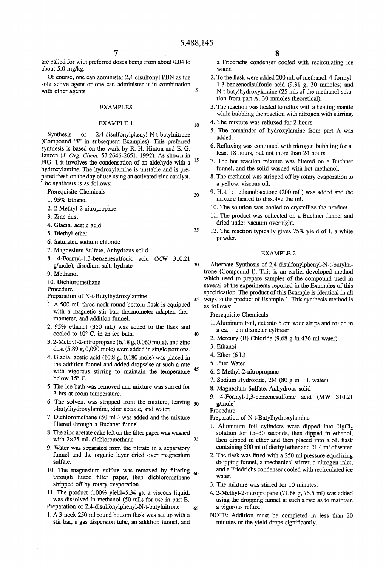1O

20

25

35

40

are called for with preferred doses being from about 0.04 to about 5.0 mg/kg.

Of course, one can administer 2,4-disulfonyl PBN as the sole active agent or one can administer it in combination  $\overline{5}$ with other agents.

#### EXAMPLES

### EXAMPLE 1

Synthesis of 2,4-disulfonylphenyl-N-t~butylnitrone (Compound "I" in subsequent Examples). This preferred synthesis is based on the work by R. H. Hinton and E. G. Janzen (J. Org. Chem. 57:2646-2651, 1992). As shown in FIG. 1 it involves the condensation of an aldehyde with a hydroxylamine. The hydroxylamine is unstable and is pre pared fresh on the day of use using an activated zinc catalyst. The synthesis is as follows: 15

Prerequisite Chemicals

- 1. 95% Ethanol
- 2. 2-Methyl-2~nitropropane
- 3. Zinc dust
- 4. Glacial acetic acid
- . Diethyl ether
- 6. Saturated sodium chloride
- 7. Magnesium Sulfate, Anhydrous solid
- 8 4-Formyl-l,3-benzenesulfonic acid (MW 310.21  $30$ g/mole), disodium salt, hydrate
- 9. Methanol
- 10. Dichloromethane

#### Procedure

- Preparation of N-t-Butylhydroxylamine
- 1. A 500 mL three neck round bottom flask is equipped with a magnetic stir bar, thermometer adapter, ther mometer, and addition funnel.
- 2.  $95\%$  ethanol (350 mL) was added to the flask and cooled to 10° C. in an ice bath.
- 3. 2-Methyl-2-nitropropane (6.18 g, 0,060 mole), and zinc dust (5.89 g, 0,090 mole) were added in single portions.
- 4. Glacial acetic acid (10.8 g, 0,180 mole) was placed in the addition funnel and added dropwise at such a rate with vigorous stirring to maintain the temperature below  $15^{\circ}$  C. 45
- 5. The ice bath was removed and mixture was stirred for 3 hrs at room temperature.
- 6. The solvent was stripped from the mixture, leaving  $50$ t-butylhydroxylamine, zinc acetate, and water.
- 7. Dichloromethane (50 mL) was added and the mixture filtered through a Buchner funnel.
- 8. The zinc acetate cake left on the filter paper was washed with 2X25 mL dichloromethane. 55
- 9. Water was separated from the filtrate in a separatory funnel and the organic layer dried over magnesium sulfate.
- 10. The magnesium sulfate was removed by filtering through fluted filter paper, then dichloromethane stripped off by rotary evaporation. 60
- 11. The product (100% yield=5.34 g), a viscous liquid, was dissolved in methanol (50 mL) for use in part B. Preparation of 2,4-disulfonylphenyl-N-t-butylnitrone
- 1. A 3-neck 250 ml round bottom flask was set up with a stir bar, a gas dispersion tube, an addition funnel, and 65

8 8<br>a Friedrichs condenser cooled with recirculating ice water.

- 2. To the flask were added 200 mL of methanol, 4-formyl-1,3-benzenedisulfonic acid (9.31 g, 30 mmoles) and N-t-butylhydroxylamine (25 mL of the methanol solu tion from part A, 30 mmoles theoretical).
- 3. The reaction was heated to reflux with a heating mantle while bubbling the reaction with nitrogen with stirring.
- 4. The mixture was refluxed for 2 hours.
- 5. The remainder of hydroxylamine from part A was added.
- 6. Refluxing was continued with nitrogen bubbling for at least 18 hours, but not more than 24 hours.
- 7. The hot reaction mixture was filtered on a Buchner funnel, and the solid washed with hot methanol.
- 8. The methanol was stripped off by rotary evaporation to a yellow, viscous oil.
- 9. Hot 1:1 ethanol:acetone (200 mL) was added and the mixture heated to dissolve the oil.
- 10. The solution was cooled to crystallize the product.
- 11. The product was collected on a Buchner funnel and dried under vacuum overnight.
- 12. The reaction typically gives 75% yield of I, a white powder.

#### EXAMPLE 2

Alternate Synthesis of 2,4-disulfonylphenyl-N-t-butylni trone (Compound 1). This is an earlier-developed method which used to prepare samples of the compound used in several of the experiments reported in the Examples of this specification. The product of this Example is identical in all ways to the product of Example 1. This synthesis method is as follows:

- Prerequisite Chemicals
- 1. Aluminum Foil, cut into 5 cm wide strips and rolled in a ca. 1 cm diameter cylinder
- 2. Mercury (H) Chloride (9.68 g in 476 ml water)
- 3. Ethanol
- 4. Ether (6 L)
- . Pure Water
- . 2-Methyl-2-nitropropane
- . Sodium Hydroxide, 2M (80 g in 1 L water)
- . Magnesium Sulfate, Anhydrous solid
- 4-Formyl-1,3-benzenesulfonic acid (MW 310.21 g/mole)

Procedure

Preparation of N-t~Butylhydroxylamine

- 1. Aluminum foil cylinders were dipped into  $HgCl<sub>2</sub>$ solution for 15—30 seconds, then dipped in ethanol, then dipped in ether and then placed into a 5L flask containing 500 ml of diethyl ether and 21.4 ml of water.
- 2. The flask was fitted with a 250 ml pressure-equalizing dropping funnel, a mechanical stirrer, a nitrogen inlet, and a Friedrichs condenser cooled with recirculated ice water.
- . The mixture was stirred for 10 minutes.
- 4. 2-Methyl-2-nitropropane (71.68 g, 75.5 ml) was added using the dropping funnel at such a rate as to maintain a vigorous reflux.
- NOTE: Addition must be completed in less than 20 minutes or the yield drops significantly.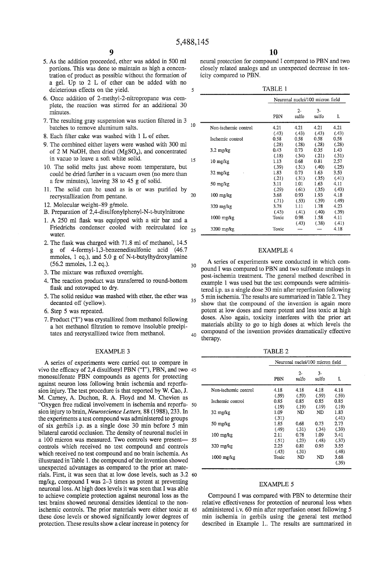$\overline{\phantom{0}}$ 

15

30

40

- 5. As the addition proceeded, ether was added in 500 ml portions. This was done to maintain as high a concen tration of product as possible without the formation of a gel. Up to 2 L of ether can be added with no deleterious effects on the yield.
- 6. Once addition of 2-methyl-2-nitropropane was com plete, the reaction was stirred for an additional 30 minutes.
- 7. The resulting gray suspension was suction filtered in 3 batches to remove aluminum salts.  $\overline{10}$
- 8. Each filter cake was washed with 1 L of ether.
- 9. The combined either layers were washed with 300 ml of 2 M NaOH, then dried (MgSO<sub>4</sub>), and concentrated in vacuo to leave a soft white solid.
- 10. The solid melts just above room temperature, but could be dried further in a vacuum oven (no more than a few minutes), leaving 38 to 45 g of solid.
- 11. The solid can be used as is or was purified by recrystallization from pentane. 20
- 12. Molecular weight-89 g/mole.
- B. Preparation of 2,4-disulfonylphenyl-N-t-butylnitrone
- 1. A 250 ml flask was equipped with a stir bar and a Friedrichs condenser cooled with recirculated ice  $_{25}$ water.
- 2. The flask was charged with  $71.8$  ml of methanol, 14.5 g of 4-formyl-1,3-benzenedisulfonic acid (46.7 mmoles, 1 eq.), and 5.0 g of N-t-butylhydroxylamine (56.2 mmoles, 1.2 eq.).
- 3. The mixture was refluxed overnight.
- 4. The reaction product was transferred to round-bottom flask and rotovaped to dry.
- 5. The solid residue was mashed with ether, the ether was decanted off (yellow). 35
- 6. Step 5 was repeated.
- 7. Product ("I") was crystallized from methanol following a hot methanol filtration to remove insoluble precipitates and recrystallized twice from methanol.

#### EXAMPLE 3

A series of experiments were carried out to compare in wivo the efficacy of 2,4 disulfonyl PBN  $("I")$ , PBN, and two 45 monosulfonate PBN compounds as agents for protecting against neuron loss following brain ischemia and reperfusion injury. The test procedure is that reported by W. Cao, J. M. Carney, A. Duchon, R. A. Floyd and M. Chevion as "Oxygen free radical involvement in ischemia and reperfu- 50 sion injury to brain, Neuroscience Letters, 88 (1988), 233. In the experiments a test compound was administered to groups of six gerbils i.p. as a single dose 30 min before 5 min bilateral carotid occlusion. The density of neuronal nuclei in a 100 micron was measured. Two controls were present— 55 controls which received no test compound and controls which received no test compound and no brain ischemia. As illustrated in Table 1. the compound of the invention showed unexpected advantages as compared to the prior art mate rials. First, it was seen that at low dose levels, such as 3.2 60 mg/kg, compound I was 2—3 times as potent at preventing neuronal loss. At high does levels it was seen that I was able to achieve complete protection against neuronal loss as the test brains showed neuronal densities identical to the non ischernic controls. The prior materials were either toxic at 65 these dose levels or showed significantly lower degrees of protection. These results show a clear increase in potency for

neural protection for compound I compared to PBN and two closely related analogs and an unexpected decrease in tox icity compared to PBN.

TABLE 1

|                      |       | Neuronal nuclei/100 micron field |                |               |  |  |  |
|----------------------|-------|----------------------------------|----------------|---------------|--|--|--|
|                      | PBN   | $2 -$<br>sulfo                   | $3 -$<br>sulfo | I.            |  |  |  |
| Non-ischemic control | 4.21  | 4.21                             | 4.21           | 4.21          |  |  |  |
| Ischemic control     | (43)  | (.43)                            | (.43)          | (.43)         |  |  |  |
|                      | 0.58  | 0.58                             | 0.58           | 0.58          |  |  |  |
|                      | (.28) | (.28)                            | (.28)          | (.28)         |  |  |  |
| $3.2 \text{ mg/kg}$  | 0.43  | 0.73                             | 0.35           | 1.43          |  |  |  |
|                      | (.18) | (.34)                            | (.21)          | (.31)         |  |  |  |
| $10 \text{ mg/kg}$   | 1.13  | 0.68                             | 0.81           | 2.57          |  |  |  |
|                      | (.39) | (.31)                            | (.40)          | (.25)         |  |  |  |
| $32 \text{ mg/kg}$   | 1.83  | 0.73                             | 1.63           | 3.53          |  |  |  |
|                      | (.21) | (.31)                            | (.35)          | (.41)         |  |  |  |
| 50 mg/kg             | 3.11  | 1.01                             | 1.63           | 4.11          |  |  |  |
|                      | (.29) | (.61)                            | (.35)          | (.43)         |  |  |  |
| $100 \text{ mg/kg}$  | 3.68  | 0.93                             | 1.93           | 4.18          |  |  |  |
|                      | (.71) | (.53)                            | (.39)          | (.49)         |  |  |  |
| $320$ mg/kg          | 3.78  | 1.11                             | 1.78           | 4.23          |  |  |  |
|                      | (.43) | (.41)                            | (.40)          | (.39)         |  |  |  |
| $1000$ mg/kg         | Toxic | 0.98<br>(.43)                    | 1.58<br>(.38)  | 4.11<br>(.41) |  |  |  |
| 3200 mg/kg           | Toxic |                                  |                | 4.18          |  |  |  |

#### EXAMPLE 4

A series of experiments were conducted in which com pound I was compared to PBN and two sulfonate analogs in post-ischemia treatment. The general method described in example 1 was used but the test compounds were adminis tered i.p. as a single dose 30 min after reperfusion following 5 min ischemia. The results are summarized in Table 2. They show that the compound of the invention is again more potent at low doses and more potent and less toxic at high doses. Also again, toxicity interferes with the prior art materials ability to go to high doses at which levels the compound of the invention provides dramatically effective therapy.

TABLE 2

|                      | Neuronal nuclei/100 micron field |                |               |               |  |  |
|----------------------|----------------------------------|----------------|---------------|---------------|--|--|
|                      | PBN                              | $2 -$<br>sulfo | 3-<br>sulfo   | I.            |  |  |
| Non-ischemic control | 4.18<br>(.59)                    | 4.18<br>(.59)  | 4.18<br>(.59) | 4.18<br>(.59) |  |  |
| Ischemic control     | 0.85<br>(.19)                    | 0.85<br>(.19)  | 0.85<br>(.19) | 0.85<br>(.19) |  |  |
| $32 \text{ mg/kg}$   | 1.09<br>(.31)                    | ND.            | ND            | 1.83<br>(.41) |  |  |
| $50 \text{ mg/kg}$   | 1.85<br>(.49)                    | 0.68<br>(.31)  | 0.73<br>(.34) | 2.73<br>(.39) |  |  |
| $100 \text{ mg/kg}$  | 2.11<br>(.51)                    | 0.78<br>(.23)  | 1.09<br>(.48) | 3.41<br>(.37) |  |  |
| $320$ mg/kg          | 2.25<br>(.43)                    | 0.81<br>(.31)  | 0.93          | 3.55<br>(.48) |  |  |
| $1000$ mg/kg         | Toxic                            | ND             | ND            | 3.68<br>(.39) |  |  |

#### EXAMPLE 5

Compound I was compared with PBN to determine their relative effectiveness for protection of neuronal loss when administered i.v. 60 min after reperfusion onset following 5 min ischemia in gerbils using the general test method described in Example 1.. The results are summarized in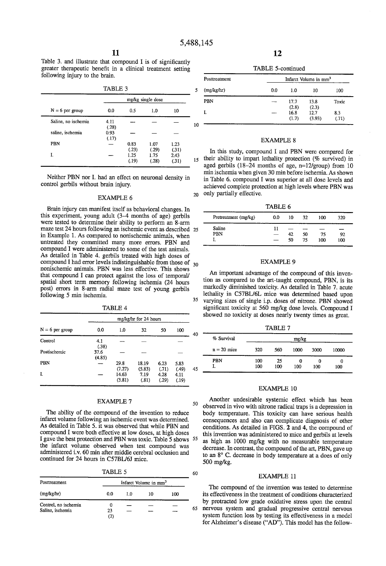20

50

60

Table 3. and illustrate that compound  $I$  is of significantly greater therapeutic benefit in a clinical treatment setting following injury to the brain.

| $N = 6$ per group   | 0.0           | 0.5<br>1.0             |                        | 10                     |  |
|---------------------|---------------|------------------------|------------------------|------------------------|--|
| Saline, no ischemia | 4.11<br>(.28) |                        |                        |                        |  |
| saline, ischemia    | 0.93<br>(.17) |                        |                        |                        |  |
| PBN                 |               | 0.83                   | 1.07                   | 1.23                   |  |
| I.                  |               | (.23)<br>1.25<br>(.19) | (.29)<br>1.75<br>(.28) | (.31)<br>2.43<br>(.31) |  |

Neither PBN nor 1. had an effect on neuronal density in control 'gerbils without brain injury.

#### EXAMPLE 6

Brain injury can manifest itself as behavioral changes. In this experiment, young adult  $(3-4)$  months of age) gerbils were tested to determine their ability to perform an 8-arm maze test 24 hours following an ischemic event as described 25 in Example 1. As compared to nonischemic animals, when untreated they committed many more errors. PBN and compound 1 were administered to some of the test animals. As detailed in Table 4. gerbils treated with high doses of compound I had error levels indistinguishable from those of  $_{30}$ nonischemic animals. PBN was less effective. This shows that compound I can protect against the loss of temporal/ spatial short term memory following ischemia (24 hours post) errors in 8-arm radial maze test of young gerbils following 5 min ischemia. 35

TABLE 4

| $N = 6$ per group | mg/kg/hr for 24 hours |                 |                 |               |               |    |  |
|-------------------|-----------------------|-----------------|-----------------|---------------|---------------|----|--|
|                   | 0.0                   | 1.0             | 32              | 50            | 100           | 40 |  |
| <b>Control</b>    | 4.1<br>(.38)          |                 |                 |               |               |    |  |
| Postischemic      | 37.6<br>(4.85)        |                 |                 |               |               |    |  |
| PBN               |                       | 29.8<br>(7.27)  | 18.19<br>(5.83) | 6.23<br>(.71) | 5.83<br>(.49) | 45 |  |
| I.                |                       | 14.63<br>(3.81) | 7.19<br>(.81)   | 4.28<br>(.29) | 4.11<br>(.19) |    |  |

#### EXAMPLE 7

The ability of the compound of the invention to reduce infarct volume following an ischemic event was determined. As detailed in Table 5. it was observed that while PBN and compound I were both effective at low doses, at high doses I gave the best protection and PBN was toxic. Table 5 shows 55 the infarct volume observed when test compound was administered i.v. 60 min after middle cerebral occlusion and continued for 24 hours in C57BL/6J mice.

| г |
|---|
|---|

| Posttreatment        |     |     | Infarct Volume in mm <sup>3</sup> |     |    |
|----------------------|-----|-----|-----------------------------------|-----|----|
| (mg/kg/hr)           | 0.0 | 1.0 | 10                                | 100 |    |
| Control, no ischemia |     | –   |                                   |     |    |
| Saline, ischemia     | 23  | –   |                                   |     | 65 |
|                      | (2) |     |                                   |     |    |

12

TABLE 5-continued

| Posttreatment | Infarct Volume in mm <sup>3</sup> |               |                |              |  |  |
|---------------|-----------------------------------|---------------|----------------|--------------|--|--|
| (mg/kg/hr)    | 0.0                               | 1.0<br>10     |                | 100          |  |  |
| PBN           |                                   | 17.7<br>(2.8) | 13.8<br>(2.3)  | Toxic        |  |  |
|               |                                   | 16.8<br>(1.7) | 12.7<br>(3.93) | 8.3<br>(.71) |  |  |

#### EXAMPLE 8

In this study, compound I and PBN were compared for  $15$  their ability to impart lethality protection (% survived) in aged gerbils (18-24 months of age, n=12/group) from 10 min ischemia when given 30 min before ischemia. As shown in Table 6. compound I was superior at all dose levels and achieved complete protection at high levels where PBN was only partially effective.

TABLE 6

| Pretreatment (mg/kg) | 0.0                      | 10 | 32 | 100 | 320 |  |
|----------------------|--------------------------|----|----|-----|-----|--|
| Saline               | 11                       |    |    |     |     |  |
| PBN                  | $\overline{\phantom{a}}$ | 42 | 50 | 75  | 92  |  |
| л.                   | –                        | 50 | 75 | 100 | 100 |  |
|                      |                          |    |    |     |     |  |

#### EXAMPLE 9

An important advantage of the compound of this inven tion as compared to the art-taught compound, PBN, is its markedly diminished toxicity. As detailed in Table 7. acute lethality in C57BL/6L mice was determined based upon varying sizes of single i.p. doses of nitrone. PBN showed significant toxicity at 560 mg/kg dose levels. Compound I showed no toxicity at doses nearly twenty times as great.

| TABLE 7       |     |     |       |      |       |  |  |
|---------------|-----|-----|-------|------|-------|--|--|
| % Survival    |     |     | mg/kg |      |       |  |  |
| $n = 20$ mice | 320 | 560 | 1000  | 3000 | 10000 |  |  |
| PBN           | 100 | 25  |       |      |       |  |  |

#### EXAMPLE 10

I. 100 100 100 100 100

Another undesirable systemic effect which has been observed in vivo with nitrone radical traps is a depression in body temperature. This toxicity can have serious health consequences and also can complicate diagnosis of other conditions. As detailed in FIGS. 2 and 4, the compound of this invention was administered to mice and gerbils at levels as high as 1000 mg/kg with no measurable temperature decrease. In contrast, the compound of the art, PBN, gave up to an 8° C. decrease in body temperature at a does of only 500 mg/kg.

#### EXAMPLE 11

The compound of the invention was tested to determine its effectiveness in the treatment of conditions characterized by protracted low grade oxidative stress upon the central nervous system and gradual progressive central nervous system function loss by testing its effectiveness in a model for Alzheimer's disease ("AD"). This model has the follow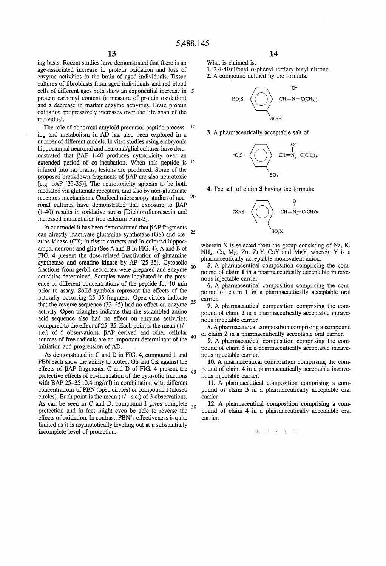ing basis: Recent studies have demonstrated that there is an age-associated increase in protein oxidation and loss of enzyme activities in the brain of aged individuals. Tissue cultures of fibroblasts from aged individuals and red blood cells of different ages both show an exponential increase in protein carbonyl content (a measure of protein oxidation) and a decrease in marker enzyme activities. Brain protein oxidation progressively increases over the life span of the individual.

The role of abnormal amyloid precursor peptide process- <sup>10</sup> ing and metabolism in AD has also been explored in a number of different models. In vitro studies using embryonic hippocampal neuronal and neuronal/glial cultures have dem onstrated that BAP 1-40 produces cytotoxicity over an extended period of co-incubation. When this peptide is <sup>15</sup> infused into rat brains, lesions are produced. Some of the proposed breakdown fragments of  $\hat{\beta}AP$  are also neurotoxic [c.g. BAP (25-35)]. The neurotoxicity appears to be both mediated via glutamate receptors, and also by non-glutamate receptors mechanisms. Confocal microscopy studies of neu ronal cultures have demonstrated that exposure to BAP (1-40) results in oxidative stress [Dichlorofluorescein and increased intracellular free calcium Fura-Z].

In our model it has been demonstrated that  $\beta AP$  fragments can directly inactivate glutamine synthetase (GS) and creatine kinase (CK) in tissue extracts and in cultured hippoc ampal neurons and glia (See A and B in FIG. 4). A and B of FIG. 4 present the dose-related inactivation of glutamine synthetase and creatine kinase by AP (25-35). Cytosolic fractions from gerbil neocortex were prepared and enzyme <sup>30</sup> activities determined. Samples were incubated in the pres ence of different concentrations of the peptide for  $10$  min prior to assay. Solid symbols represent the effects of the naturally occurring 25—35 fragment. Open circles indicate that the reverse sequence  $(32-25)$  had no effect on enzyme  $35$ activity. Open triangles indicate that the scrambled amino acid sequence also had no elfect on enzyme activities, compared to the effect of 25—35. Each point is the mean (+/ s.e.) of 5 observations.  $\beta AP$  derived and other cellular sources of free radicals are an important determinant of the  $40$ initiation and progression of AD.

As demonstrated in C and D in FIG. 4, compound 1 and PBN each show the ability to protect GS and CK against the effects of BAP fragments. C and D of FIG. 4 present the  $45$ protective effects of co-incubation of the cytosolic fractions with BAP 25-35 (0.4 mg/ml) in combination with different concentrations of PBN (open circles) or compound I (closed circles). Each point is the mean  $(+/- s.e.)$  of 3 observations. As can be seen in C and D, compound I gives complete  $_{50}$ protection and in fact might even be able to reverse the effects of oxidation. In contrast, PBN's effectiveness is quite limited as it is asymptotically leveling out at a substantially incomplete level of protection.

14

What is claimed is:

1. 2,4-disulfonyl  $\alpha$ -phenyl tertiary butyl nitrone.

2. A compound defined by the formula:



3. A pharmaceutically acceptable salt of



4. The salt of claim 3 having the formula:



wherein X is selected from the group consisting of Na, K, NH4, Ca, Mg, Zn, ZnY, CaY and MgY, wherein Y is a pharmaceutically acceptable monovalent anion.

5. A pharmaceutical composition comprising the com pound of claim 1 in a pharmaceutically acceptable intrave nous injectable carrier.

6. A pharmaceutical composition comprising the com pound of claim 1 in a pharmaceutically acceptable oral carrier.

7. A pharmaceutical composition comprising the com pound of claim 2 in a pharmaceutically acceptable intrave nous injectable carrier.

8. A pharmaceutical composition comprising a compound of claim 2 in a pharmaceutically acceptable oral carrier.

9. A pharmaceutical composition comprising the compound of claim 3 in a pharmaceutically acceptable intrave nous injectable carrier.

10. A pharmaceutical composition comprising the com pound of claim 4 in a pharmaceutically acceptable intrave nous injectable carrier.

11. A pharmaceutical composition comprising a com pound of claim 3 in a pharmaceutically acceptable oral carrier.

12. A pharmaceutical composition comprising a com pound of claim 4 in a pharmaceutically acceptable oral carrier.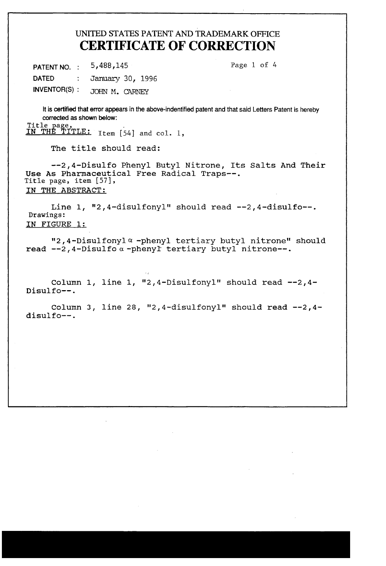# UNITED STATES PATENT AND TRADEMARK OFFICE CERTIFICATE OF CORRECTION

PATENT NO. : 5,488,145 Page 1 of 4 DATED : January 30, 1996 INVENTOR(S): JOHN M. CARNEY

It is certified that error appears in the above-indentified patent and that said Letters Patent is hereby corrected as shown below:

Title page,<br><u>IN THE TITLE:</u> Item [54] and col. l,

The title should read:

—-2,4—Disulfo Phenyl Butyl Nitrone, Its Salts And Their Use As Pharmaceutical Free Radical Traps--. Title page, item [57], IN THE ABSTRACT:

Line 1, "2,4-disulfonyl" should read --2,4-disulfo--. Drawings: IN FIGURE 1:

"2,4-Disulfonyl $\alpha$ -phenyl tertiary butyl nitrone" should read  $-2$ , 4-Disulfo  $\alpha$  -phenyl tertiary butyl nitrone--.

Column 1, line 1, "2,4-Disulfonyl" should read  $-2.4$ -Disulfo——.

Column 3, line 28, "2,4-disulfonyl" should read  $-2$ ,4disulfo--.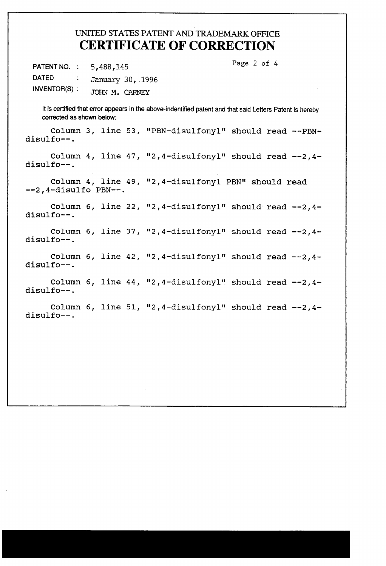# UNITED STATES PATENT AND TRADEMARK OFFICE CERTIFICATE OF CORRECTION

PATENT NO. : 5,488,145 Page 2 of 4 DATED : January 30, 1996 |NVENTOR(S) ; JOHN M. CARNEY

It is certified that error appears in the above-indentified patent and that said Letters Patent is hereby corrected as shown below:

Column 3, line 53, "PBN-disulfonyl" should read --PBN disulfo--.

Column 4, line 47, "2,4-disulfonyl" should read -—2,4 disulfo—-.

Column 4, line 49, "2,4-disulfonyl PBN" should read ——2,4—disulfo PBN-—.

Column 6, line 22, "2,4-disulfonyl" should read \_\_2,4 disulfo——.

Column 6, line 37, "2,4-disulfonyl" should read disulfo——.

column 6, line 42, "2,4-disulfonyl" should read --2,4disulfo——.

column 6, line 44, "2,4-disulfonyl" should read --2,4disulfo——.

column 6, line 51, "2,4-disulfonyl" should read --2,4disulfo——.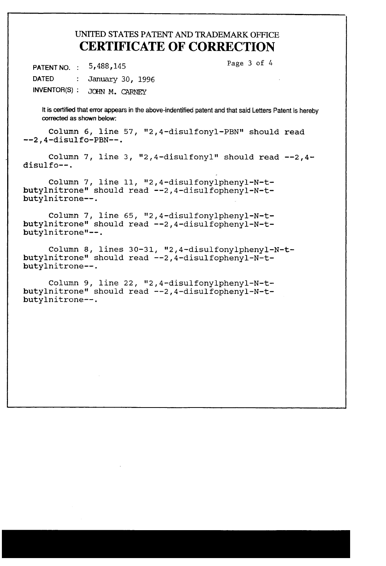# UNITED STATES PATENT AND TRADEMARK OFFICE CERTIFICATE OF CORRECTION

PATENT NO. : 5,488,145 Page 3 of 4 DATED : January 30, 1996

INVENTOR(S) : JOHN M. CARNEY

It is certified that error appears in the above-indentified patent and that said Letters Patent is hereby corrected as shown below:

Column 6, line 57, "2,4-disulfonyl-PBN" should read --2,4—disulfo—PBN—-.

Column 7, line 3, "2,4-disulfonyl" should read  $-2$ ,4disulfo--.

Column 7, line 11, "2,4-disulfonylphenyl-N-t butylnitrone" should read -—2,4-disulfophenyl-N—t butylnitrone--. ,

Column 7, line 65, "2,4-disulfonylphenyl-N-t butylnitrone" should read —-2,4—disulfophenyl—N-t— butylnitrone"——.

Column 8, lines 30-31, "2,4-disulfonylphenyl-N-t butylnitrone" should read --2,4-disulfophenyl-N-t-<br>butylnitrone--.

Column 9, line 22, "2,4—disulfonylphenyl-N—t butylnitrone" should read --2,4-disulfophenyl-N-t-<br>butylnitrone--.